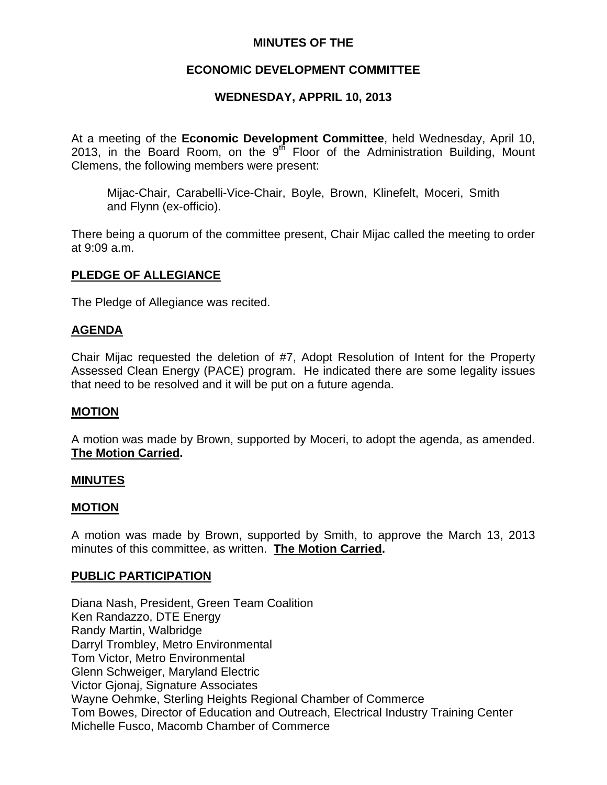# **MINUTES OF THE**

# **ECONOMIC DEVELOPMENT COMMITTEE**

# **WEDNESDAY, APPRIL 10, 2013**

At a meeting of the **Economic Development Committee**, held Wednesday, April 10, 2013, in the Board Room, on the  $9<sup>th</sup>$  Floor of the Administration Building, Mount Clemens, the following members were present:

Mijac-Chair, Carabelli-Vice-Chair, Boyle, Brown, Klinefelt, Moceri, Smith and Flynn (ex-officio).

There being a quorum of the committee present, Chair Mijac called the meeting to order at 9:09 a.m.

### **PLEDGE OF ALLEGIANCE**

The Pledge of Allegiance was recited.

### **AGENDA**

Chair Mijac requested the deletion of #7, Adopt Resolution of Intent for the Property Assessed Clean Energy (PACE) program. He indicated there are some legality issues that need to be resolved and it will be put on a future agenda.

### **MOTION**

A motion was made by Brown, supported by Moceri, to adopt the agenda, as amended. **The Motion Carried.** 

### **MINUTES**

### **MOTION**

A motion was made by Brown, supported by Smith, to approve the March 13, 2013 minutes of this committee, as written. **The Motion Carried.** 

## **PUBLIC PARTICIPATION**

Diana Nash, President, Green Team Coalition Ken Randazzo, DTE Energy Randy Martin, Walbridge Darryl Trombley, Metro Environmental Tom Victor, Metro Environmental Glenn Schweiger, Maryland Electric Victor Gjonaj, Signature Associates Wayne Oehmke, Sterling Heights Regional Chamber of Commerce Tom Bowes, Director of Education and Outreach, Electrical Industry Training Center Michelle Fusco, Macomb Chamber of Commerce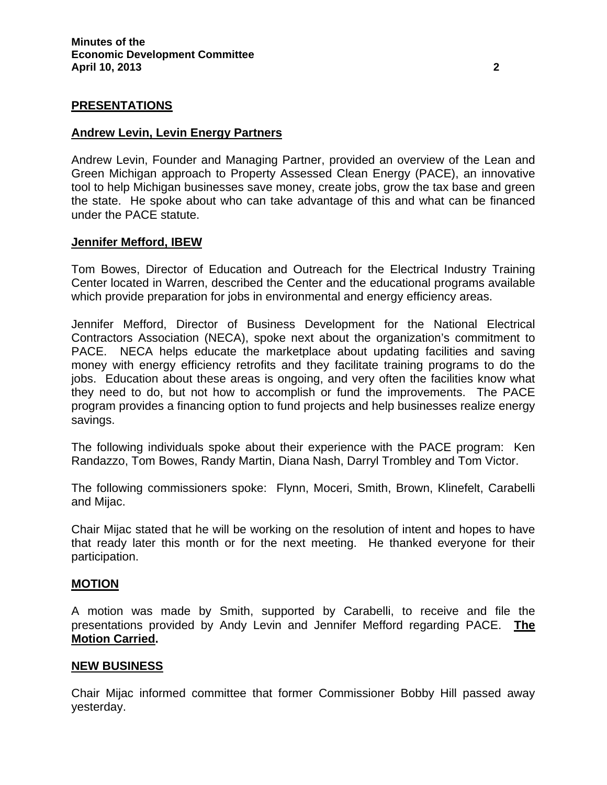# **PRESENTATIONS**

#### **Andrew Levin, Levin Energy Partners**

Andrew Levin, Founder and Managing Partner, provided an overview of the Lean and Green Michigan approach to Property Assessed Clean Energy (PACE), an innovative tool to help Michigan businesses save money, create jobs, grow the tax base and green the state. He spoke about who can take advantage of this and what can be financed under the PACE statute.

#### **Jennifer Mefford, IBEW**

Tom Bowes, Director of Education and Outreach for the Electrical Industry Training Center located in Warren, described the Center and the educational programs available which provide preparation for jobs in environmental and energy efficiency areas.

Jennifer Mefford, Director of Business Development for the National Electrical Contractors Association (NECA), spoke next about the organization's commitment to PACE. NECA helps educate the marketplace about updating facilities and saving money with energy efficiency retrofits and they facilitate training programs to do the jobs. Education about these areas is ongoing, and very often the facilities know what they need to do, but not how to accomplish or fund the improvements. The PACE program provides a financing option to fund projects and help businesses realize energy savings.

The following individuals spoke about their experience with the PACE program: Ken Randazzo, Tom Bowes, Randy Martin, Diana Nash, Darryl Trombley and Tom Victor.

The following commissioners spoke: Flynn, Moceri, Smith, Brown, Klinefelt, Carabelli and Mijac.

Chair Mijac stated that he will be working on the resolution of intent and hopes to have that ready later this month or for the next meeting. He thanked everyone for their participation.

#### **MOTION**

A motion was made by Smith, supported by Carabelli, to receive and file the presentations provided by Andy Levin and Jennifer Mefford regarding PACE. **The Motion Carried.** 

#### **NEW BUSINESS**

Chair Mijac informed committee that former Commissioner Bobby Hill passed away yesterday.